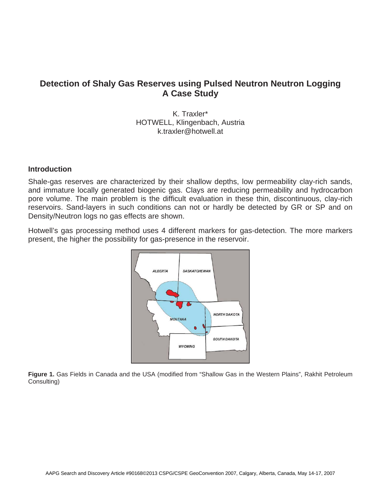# **Detection of Shaly Gas Reserves using Pulsed Neutron Neutron Logging A Case Study**

K. Traxler\* HOTWELL, Klingenbach, Austria k.traxler@hotwell.at

### **Introduction**

Shale-gas reserves are characterized by their shallow depths, low permeability clay-rich sands, and immature locally generated biogenic gas. Clays are reducing permeability and hydrocarbon pore volume. The main problem is the difficult evaluation in these thin, discontinuous, clay-rich reservoirs. Sand-layers in such conditions can not or hardly be detected by GR or SP and on Density/Neutron logs no gas effects are shown.

Hotwell's gas processing method uses 4 different markers for gas-detection. The more markers present, the higher the possibility for gas-presence in the reservoir.



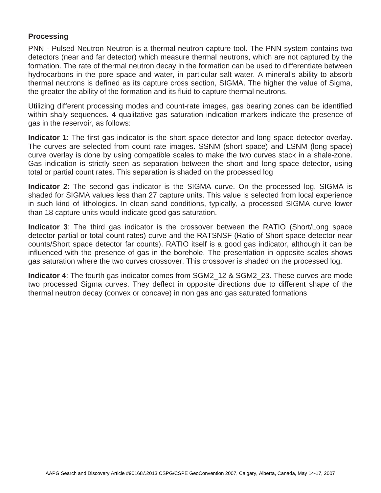### **Processing**

PNN - Pulsed Neutron Neutron is a thermal neutron capture tool. The PNN system contains two detectors (near and far detector) which measure thermal neutrons, which are not captured by the formation. The rate of thermal neutron decay in the formation can be used to differentiate between hydrocarbons in the pore space and water, in particular salt water. A mineral's ability to absorb thermal neutrons is defined as its capture cross section, SIGMA. The higher the value of Sigma, the greater the ability of the formation and its fluid to capture thermal neutrons.

Utilizing different processing modes and count-rate images, gas bearing zones can be identified within shaly sequences. 4 qualitative gas saturation indication markers indicate the presence of gas in the reservoir, as follows:

**Indicator 1**: The first gas indicator is the short space detector and long space detector overlay. The curves are selected from count rate images. SSNM (short space) and LSNM (long space) curve overlay is done by using compatible scales to make the two curves stack in a shale-zone. Gas indication is strictly seen as separation between the short and long space detector, using total or partial count rates. This separation is shaded on the processed log

**Indicator 2**: The second gas indicator is the SIGMA curve. On the processed log, SIGMA is shaded for SIGMA values less than 27 capture units. This value is selected from local experience in such kind of lithologies. In clean sand conditions, typically, a processed SIGMA curve lower than 18 capture units would indicate good gas saturation.

**Indicator 3**: The third gas indicator is the crossover between the RATIO (Short/Long space detector partial or total count rates) curve and the RATSNSF (Ratio of Short space detector near counts/Short space detector far counts). RATIO itself is a good gas indicator, although it can be influenced with the presence of gas in the borehole. The presentation in opposite scales shows gas saturation where the two curves crossover. This crossover is shaded on the processed log.

**Indicator 4**: The fourth gas indicator comes from SGM2\_12 & SGM2\_23. These curves are mode two processed Sigma curves. They deflect in opposite directions due to different shape of the thermal neutron decay (convex or concave) in non gas and gas saturated formations